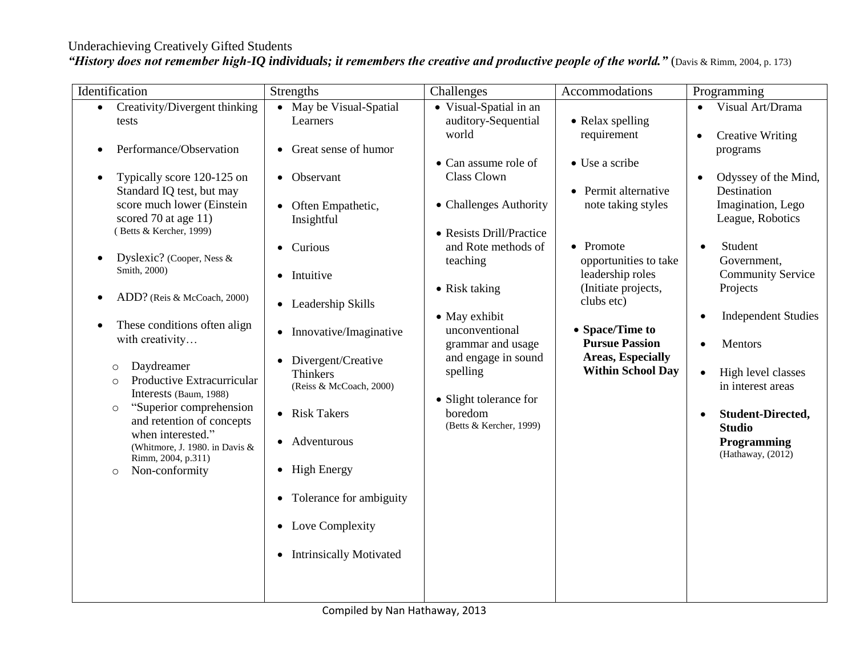## Underachieving Creatively Gifted Students

|  |  |  | "History does not remember high-IQ individuals; it remembers the creative and productive people of the world." (Davis & Rimm, 2004, p. 173) |
|--|--|--|---------------------------------------------------------------------------------------------------------------------------------------------|
|--|--|--|---------------------------------------------------------------------------------------------------------------------------------------------|

| Identification                                                                                                                                                                                                                                                                                                                                                                                                                                                                                                                                                              | <b>Strengths</b>                                                                                                                                                                                                                                                                                                                                                                                                                              | Challenges                                                                                                                                                                                                                                                                                                        | Accommodations                                                                                                                                                                                                                                                                 | Programming                                                                                                                                                                                                                                                                                                                                                                                |
|-----------------------------------------------------------------------------------------------------------------------------------------------------------------------------------------------------------------------------------------------------------------------------------------------------------------------------------------------------------------------------------------------------------------------------------------------------------------------------------------------------------------------------------------------------------------------------|-----------------------------------------------------------------------------------------------------------------------------------------------------------------------------------------------------------------------------------------------------------------------------------------------------------------------------------------------------------------------------------------------------------------------------------------------|-------------------------------------------------------------------------------------------------------------------------------------------------------------------------------------------------------------------------------------------------------------------------------------------------------------------|--------------------------------------------------------------------------------------------------------------------------------------------------------------------------------------------------------------------------------------------------------------------------------|--------------------------------------------------------------------------------------------------------------------------------------------------------------------------------------------------------------------------------------------------------------------------------------------------------------------------------------------------------------------------------------------|
| • Creativity/Divergent thinking<br>tests                                                                                                                                                                                                                                                                                                                                                                                                                                                                                                                                    | • May be Visual-Spatial<br>Learners                                                                                                                                                                                                                                                                                                                                                                                                           | • Visual-Spatial in an<br>auditory-Sequential                                                                                                                                                                                                                                                                     | • Relax spelling                                                                                                                                                                                                                                                               | Visual Art/Drama                                                                                                                                                                                                                                                                                                                                                                           |
| Performance/Observation<br>Typically score 120-125 on<br>Standard IQ test, but may<br>score much lower (Einstein<br>scored 70 at age 11)<br>(Betts & Kercher, 1999)<br>Dyslexic? (Cooper, Ness &<br>Smith, 2000)<br>ADD? (Reis & McCoach, 2000)<br>These conditions often align<br>with creativity<br>Daydreamer<br>$\circ$<br>Productive Extracurricular<br>$\circ$<br>Interests (Baum, 1988)<br>"Superior comprehension<br>$\circ$<br>and retention of concepts<br>when interested."<br>(Whitmore, J. 1980. in Davis &<br>Rimm, 2004, p.311)<br>Non-conformity<br>$\circ$ | Great sense of humor<br>Observant<br>Often Empathetic,<br>Insightful<br>Curious<br>$\bullet$<br>Intuitive<br>$\bullet$<br>Leadership Skills<br>$\bullet$<br>Innovative/Imaginative<br>$\bullet$<br>Divergent/Creative<br><b>Thinkers</b><br>(Reiss & McCoach, 2000)<br>• Risk Takers<br>Adventurous<br>$\bullet$<br><b>High Energy</b><br>$\bullet$<br>Tolerance for ambiguity<br>$\bullet$<br>• Love Complexity<br>• Intrinsically Motivated | world<br>• Can assume role of<br>Class Clown<br>• Challenges Authority<br>• Resists Drill/Practice<br>and Rote methods of<br>teaching<br>• Risk taking<br>• May exhibit<br>unconventional<br>grammar and usage<br>and engage in sound<br>spelling<br>• Slight tolerance for<br>boredom<br>(Betts & Kercher, 1999) | requirement<br>• Use a scribe<br>• Permit alternative<br>note taking styles<br>• Promote<br>opportunities to take<br>leadership roles<br>(Initiate projects,<br>clubs etc)<br>• Space/Time to<br><b>Pursue Passion</b><br><b>Areas, Especially</b><br><b>Within School Day</b> | <b>Creative Writing</b><br>$\bullet$<br>programs<br>Odyssey of the Mind,<br>Destination<br>Imagination, Lego<br>League, Robotics<br>Student<br>Government,<br><b>Community Service</b><br>Projects<br><b>Independent Studies</b><br>Mentors<br>High level classes<br>$\bullet$<br>in interest areas<br>Student-Directed,<br>$\bullet$<br><b>Studio</b><br>Programming<br>(Hathaway, (2012) |
|                                                                                                                                                                                                                                                                                                                                                                                                                                                                                                                                                                             |                                                                                                                                                                                                                                                                                                                                                                                                                                               |                                                                                                                                                                                                                                                                                                                   |                                                                                                                                                                                                                                                                                |                                                                                                                                                                                                                                                                                                                                                                                            |